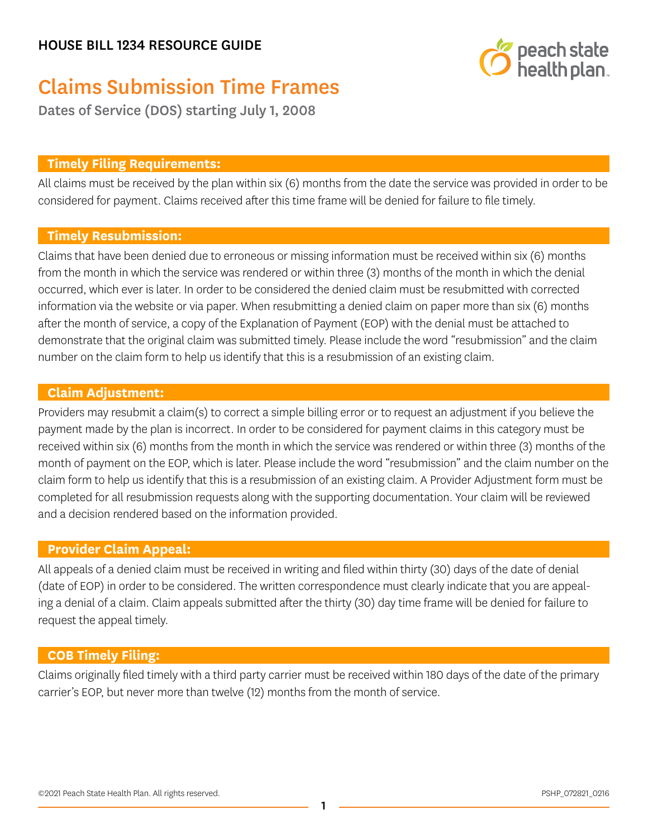

# Claims Submission Time Frames

Dates of Service (DOS) starting July 1, 2008

# **Timely Filing Requirements:**

All claims must be received by the plan within six (6) months from the date the service was provided in order to be considered for payment. Claims received after this time frame will be denied for failure to file timely.

# **Timely Resubmission:**

Claims that have been denied due to erroneous or missing information must be received within six (6) months from the month in which the service was rendered or within three (3) months of the month in which the denial occurred, which ever is later. In order to be considered the denied claim must be resubmitted with corrected information via the website or via paper. When resubmitting a denied claim on paper more than six (6) months after the month of service, a copy of the Explanation of Payment (EOP) with the denial must be attached to demonstrate that the original claim was submitted timely. Please include the word "resubmission" and the claim number on the claim form to help us identify that this is a resubmission of an existing claim.

# **Claim Adjustment:**

Providers may resubmit a claim(s) to correct a simple billing error or to request an adjustment if you believe the payment made by the plan is incorrect. In order to be considered for payment claims in this category must be received within six (6) months from the month in which the service was rendered or within three (3) months of the month of payment on the EOP, which is later. Please include the word "resubmission" and the claim number on the claim form to help us identify that this is a resubmission of an existing claim. A Provider Adjustment form must be completed for all resubmission requests along with the supporting documentation. Your claim will be reviewed and a decision rendered based on the information provided.

## **Provider Claim Appeal:**

All appeals of a denied claim must be received in writing and filed within thirty (30) days of the date of denial (date of EOP) in order to be considered. The written correspondence must clearly indicate that you are appealing a denial of a claim. Claim appeals submitted after the thirty (30) day time frame will be denied for failure to request the appeal timely.

# **COB Timely Filing:**

Claims originally filed timely with a third party carrier must be received within 180 days of the date of the primary carrier's EOP, but never more than twelve (12) months from the month of service.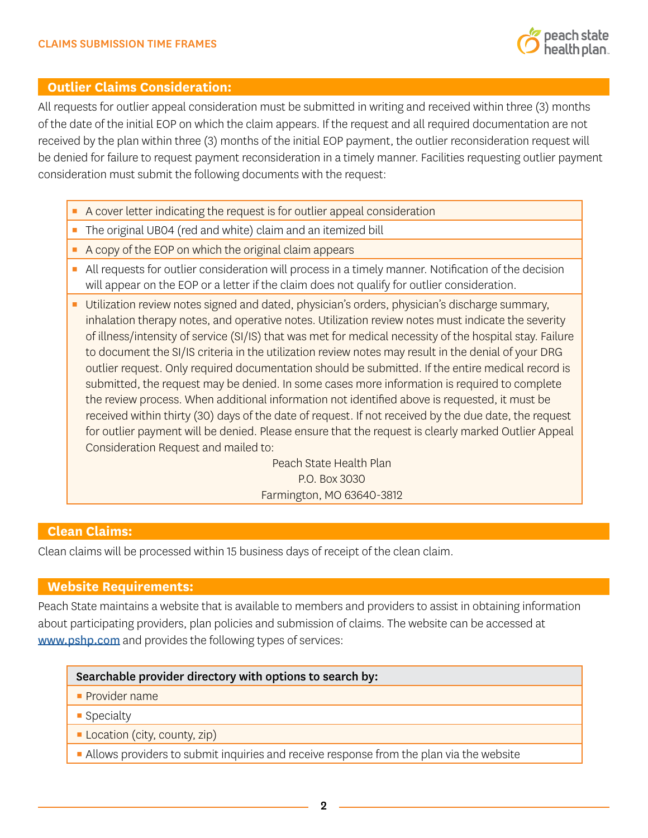

## **Outlier Claims Consideration:**

All requests for outlier appeal consideration must be submitted in writing and received within three (3) months of the date of the initial EOP on which the claim appears. If the request and all required documentation are not received by the plan within three (3) months of the initial EOP payment, the outlier reconsideration request will be denied for failure to request payment reconsideration in a timely manner. Facilities requesting outlier payment consideration must submit the following documents with the request:

- A cover letter indicating the request is for outlier appeal consideration
- The original UB04 (red and white) claim and an itemized bill
- A copy of the EOP on which the original claim appears
- **EXT** All requests for outlier consideration will process in a timely manner. Notification of the decision will appear on the EOP or a letter if the claim does not qualify for outlier consideration.
- **EXTENDITY Utilization review notes signed and dated, physician's orders, physician's discharge summary,** inhalation therapy notes, and operative notes. Utilization review notes must indicate the severity of illness/intensity of service (SI/IS) that was met for medical necessity of the hospital stay. Failure to document the SI/IS criteria in the utilization review notes may result in the denial of your DRG outlier request. Only required documentation should be submitted. If the entire medical record is submitted, the request may be denied. In some cases more information is required to complete the review process. When additional information not identified above is requested, it must be received within thirty (30) days of the date of request. If not received by the due date, the request for outlier payment will be denied. Please ensure that the request is clearly marked Outlier Appeal Consideration Request and mailed to:

Peach State Health Plan P.O. Box 3030 Farmington, MO 63640-3812

#### **Clean Claims:**

Clean claims will be processed within 15 business days of receipt of the clean claim.

#### **Website Requirements:**

Peach State maintains a website that is available to members and providers to assist in obtaining information about participating providers, plan policies and submission of claims. The website can be accessed at [www.pshp.com](http://www.pshp.com) and provides the following types of services:

#### Searchable provider directory with options to search by:

- **Provider name**
- Specialty
- **E** Location (city, county, zip)
- **EXT** Allows providers to submit inquiries and receive response from the plan via the website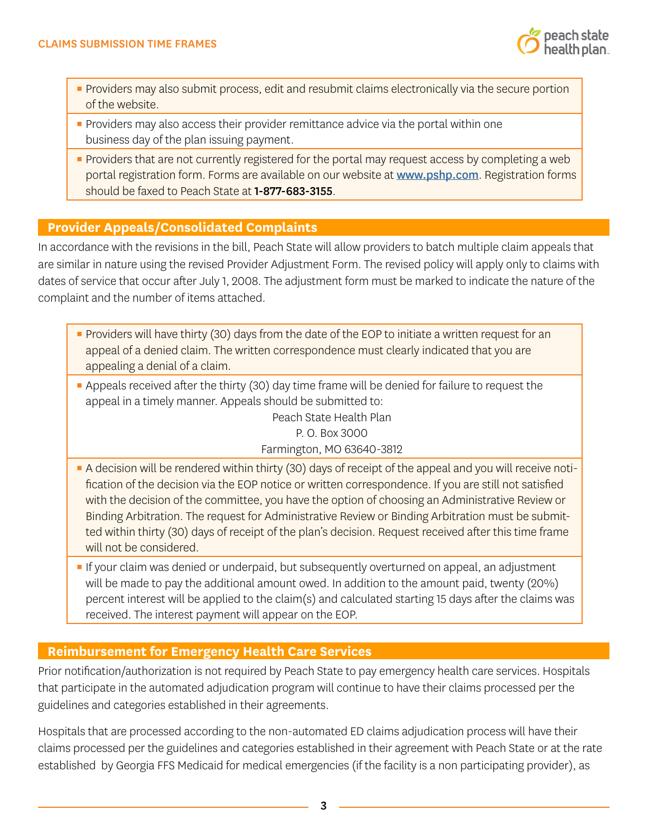- **Providers may also submit process, edit and resubmit claims electronically via the secure portion** of the website.
- **Providers may also access their provider remittance advice via the portal within one** business day of the plan issuing payment.
- **•** Providers that are not currently registered for the portal may request access by completing a web portal registration form. Forms are available on our website at [www.pshp.com](http://www.pshp.com). Registration forms should be faxed to Peach State at 1-877-683-3155.

# **Provider Appeals/Consolidated Complaints**

In accordance with the revisions in the bill, Peach State will allow providers to batch multiple claim appeals that are similar in nature using the revised Provider Adjustment Form. The revised policy will apply only to claims with dates of service that occur after July 1, 2008. The adjustment form must be marked to indicate the nature of the complaint and the number of items attached.

- **•** Providers will have thirty (30) days from the date of the EOP to initiate a written request for an appeal of a denied claim. The written correspondence must clearly indicated that you are appealing a denial of a claim.
- **•** Appeals received after the thirty (30) day time frame will be denied for failure to request the appeal in a timely manner. Appeals should be submitted to:

Peach State Health Plan P. O. Box 3000 Farmington, MO 63640-3812

- **A decision will be rendered within thirty (30) days of receipt of the appeal and you will receive noti**fication of the decision via the EOP notice or written correspondence. If you are still not satisfied with the decision of the committee, you have the option of choosing an Administrative Review or Binding Arbitration. The request for Administrative Review or Binding Arbitration must be submitted within thirty (30) days of receipt of the plan's decision. Request received after this time frame will not be considered.
- **If your claim was denied or underpaid, but subsequently overturned on appeal, an adjustment** will be made to pay the additional amount owed. In addition to the amount paid, twenty (20%) percent interest will be applied to the claim(s) and calculated starting 15 days after the claims was received. The interest payment will appear on the EOP.

## **Reimbursement for Emergency Health Care Services**

Prior notification/authorization is not required by Peach State to pay emergency health care services. Hospitals that participate in the automated adjudication program will continue to have their claims processed per the guidelines and categories established in their agreements.

Hospitals that are processed according to the non-automated ED claims adjudication process will have their claims processed per the guidelines and categories established in their agreement with Peach State or at the rate established by Georgia FFS Medicaid for medical emergencies (if the facility is a non participating provider), as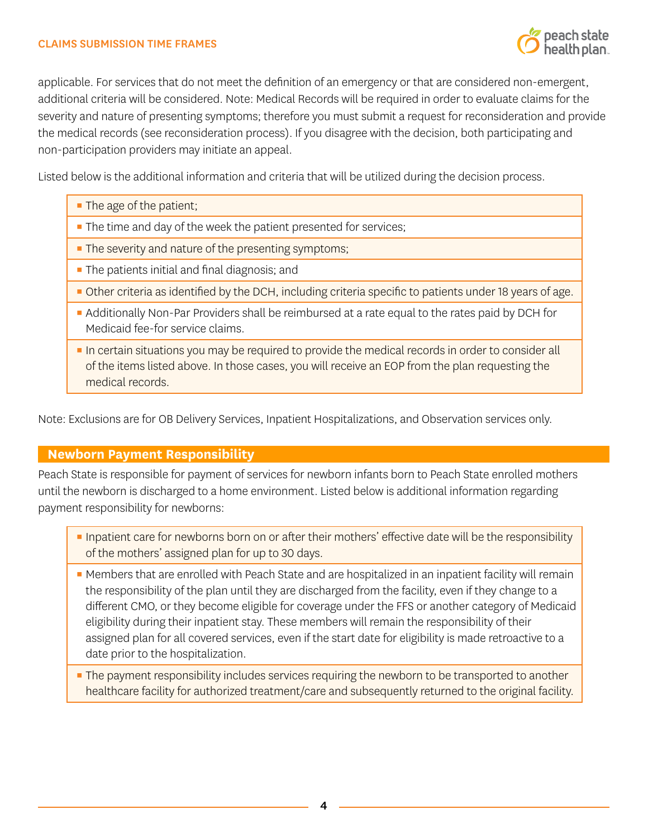applicable. For services that do not meet the definition of an emergency or that are considered non-emergent, additional criteria will be considered. Note: Medical Records will be required in order to evaluate claims for the severity and nature of presenting symptoms; therefore you must submit a request for reconsideration and provide the medical records (see reconsideration process). If you disagree with the decision, both participating and non-participation providers may initiate an appeal.

Listed below is the additional information and criteria that will be utilized during the decision process.

**The age of the patient;** 

- **The time and day of the week the patient presented for services;**
- **The severity and nature of the presenting symptoms;**
- **The patients initial and final diagnosis; and**
- Other criteria as identified by the DCH, including criteria specific to patients under 18 years of age.
- **Example 2** Additionally Non-Par Providers shall be reimbursed at a rate equal to the rates paid by DCH for Medicaid fee-for service claims.
- **In certain situations you may be required to provide the medical records in order to consider all** of the items listed above. In those cases, you will receive an EOP from the plan requesting the medical records.

Note: Exclusions are for OB Delivery Services, Inpatient Hospitalizations, and Observation services only.

# **Newborn Payment Responsibility**

Peach State is responsible for payment of services for newborn infants born to Peach State enrolled mothers until the newborn is discharged to a home environment. Listed below is additional information regarding payment responsibility for newborns:

- **Inpatient care for newborns born on or after their mothers' effective date will be the responsibility** of the mothers' assigned plan for up to 30 days.
- **Members that are enrolled with Peach State and are hospitalized in an inpatient facility will remain** the responsibility of the plan until they are discharged from the facility, even if they change to a different CMO, or they become eligible for coverage under the FFS or another category of Medicaid eligibility during their inpatient stay. These members will remain the responsibility of their assigned plan for all covered services, even if the start date for eligibility is made retroactive to a date prior to the hospitalization.
- **The payment responsibility includes services requiring the newborn to be transported to another** healthcare facility for authorized treatment/care and subsequently returned to the original facility.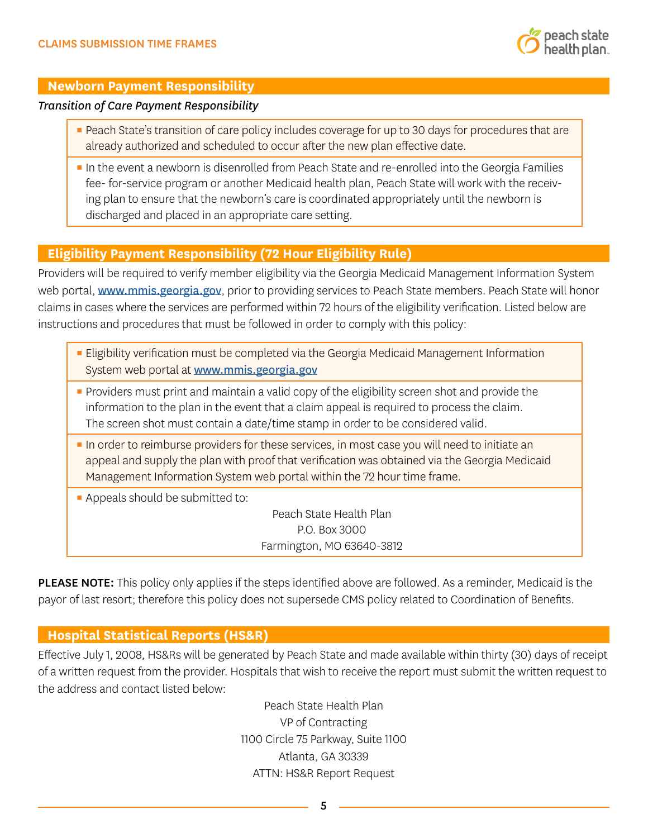

#### **Newborn Payment Responsibility**

#### *Transition of Care Payment Responsibility*

- **Peach State's transition of care policy includes coverage for up to 30 days for procedures that are** already authorized and scheduled to occur after the new plan effective date.
- **IF In the event a newborn is disenrolled from Peach State and re-enrolled into the Georgia Families** fee- for-service program or another Medicaid health plan, Peach State will work with the receiving plan to ensure that the newborn's care is coordinated appropriately until the newborn is discharged and placed in an appropriate care setting.

# **Eligibility Payment Responsibility (72 Hour Eligibility Rule)**

Providers will be required to verify member eligibility via the Georgia Medicaid Management Information System web portal, [www.mmis.georgia.gov](http://www.mmis.georgia.gov), prior to providing services to Peach State members. Peach State will honor claims in cases where the services are performed within 72 hours of the eligibility verification. Listed below are instructions and procedures that must be followed in order to comply with this policy:

- **Eligibility verification must be completed via the Georgia Medicaid Management Information** System web portal at [www.mmis.georgia.gov](http://www.mmis.georgia.gov)
- **•** Providers must print and maintain a valid copy of the eligibility screen shot and provide the information to the plan in the event that a claim appeal is required to process the claim. The screen shot must contain a date/time stamp in order to be considered valid.
- **IF In order to reimburse providers for these services, in most case you will need to initiate an** appeal and supply the plan with proof that verification was obtained via the Georgia Medicaid Management Information System web portal within the 72 hour time frame.
- **Appeals should be submitted to:**

Peach State Health Plan P.O. Box 3000 Farmington, MO 63640-3812

PLEASE NOTE: This policy only applies if the steps identified above are followed. As a reminder, Medicaid is the payor of last resort; therefore this policy does not supersede CMS policy related to Coordination of Benefits.

## **Hospital Statistical Reports (HS&R)**

Effective July 1, 2008, HS&Rs will be generated by Peach State and made available within thirty (30) days of receipt of a written request from the provider. Hospitals that wish to receive the report must submit the written request to the address and contact listed below:

> Peach State Health Plan VP of Contracting 1100 Circle 75 Parkway, Suite 1100 Atlanta, GA 30339 ATTN: HS&R Report Request